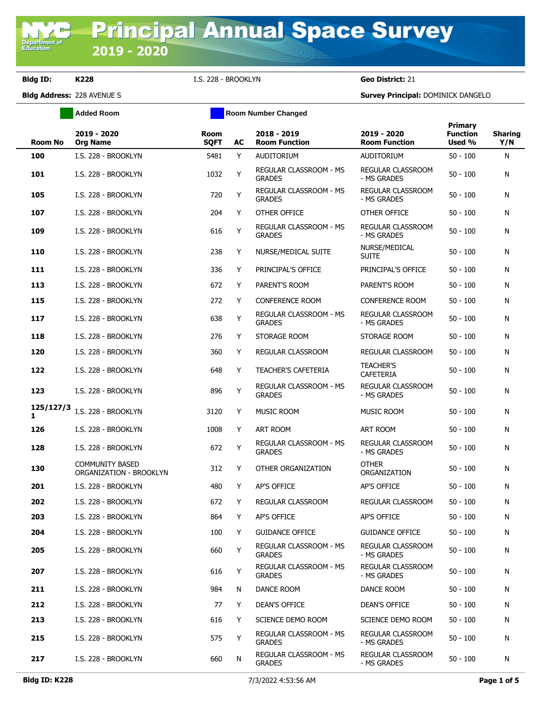**Department of**<br>Education

**Bldg ID: K228** I.S. 228 - BROOKLYN **Geo District:** 21

**Added Room Room Room Number Changed** 

**Bldg Address:** 228 AVENUE S **Survey Principal:** DOMINICK DANGELO

| <b>Room No</b> | 2019 - 2020<br><b>Org Name</b>                    | Room<br><b>SQFT</b> | AC | 2018 - 2019<br><b>Room Function</b>            | 2019 - 2020<br><b>Room Function</b>     | <b>Primary</b><br><b>Function</b><br>Used % | <b>Sharing</b><br>Y/N |
|----------------|---------------------------------------------------|---------------------|----|------------------------------------------------|-----------------------------------------|---------------------------------------------|-----------------------|
| 100            | I.S. 228 - BROOKLYN                               | 5481                | Y  | AUDITORIUM                                     | <b>AUDITORIUM</b>                       | $50 - 100$                                  | N                     |
| 101            | I.S. 228 - BROOKLYN                               | 1032                | Y  | REGULAR CLASSROOM - MS<br><b>GRADES</b>        | REGULAR CLASSROOM<br>- MS GRADES        | $50 - 100$                                  | N                     |
| 105            | I.S. 228 - BROOKLYN                               | 720                 | Y  | REGULAR CLASSROOM - MS<br><b>GRADES</b>        | <b>REGULAR CLASSROOM</b><br>- MS GRADES | $50 - 100$                                  | N                     |
| 107            | I.S. 228 - BROOKLYN                               | 204                 | Y  | OTHER OFFICE                                   | OTHER OFFICE                            | $50 - 100$                                  | N                     |
| 109            | I.S. 228 - BROOKLYN                               | 616                 | Y  | <b>REGULAR CLASSROOM - MS</b><br><b>GRADES</b> | <b>REGULAR CLASSROOM</b><br>- MS GRADES | $50 - 100$                                  | N                     |
| 110            | I.S. 228 - BROOKLYN                               | 238                 | Y  | NURSE/MEDICAL SUITE                            | NURSE/MEDICAL<br><b>SUITE</b>           | $50 - 100$                                  | N                     |
| 111            | I.S. 228 - BROOKLYN                               | 336                 | Y  | PRINCIPAL'S OFFICE                             | PRINCIPAL'S OFFICE                      | $50 - 100$                                  | N                     |
| 113            | I.S. 228 - BROOKLYN                               | 672                 | Y  | PARENT'S ROOM                                  | PARENT'S ROOM                           | $50 - 100$                                  | N                     |
| 115            | I.S. 228 - BROOKLYN                               | 272                 | Y  | <b>CONFERENCE ROOM</b>                         | <b>CONFERENCE ROOM</b>                  | $50 - 100$                                  | N                     |
| 117            | I.S. 228 - BROOKLYN                               | 638                 | Y  | <b>REGULAR CLASSROOM - MS</b><br><b>GRADES</b> | REGULAR CLASSROOM<br>- MS GRADES        | $50 - 100$                                  | N                     |
| 118            | I.S. 228 - BROOKLYN                               | 276                 | Y  | STORAGE ROOM                                   | STORAGE ROOM                            | $50 - 100$                                  | N                     |
| 120            | I.S. 228 - BROOKLYN                               | 360                 | Y  | REGULAR CLASSROOM                              | REGULAR CLASSROOM                       | $50 - 100$                                  | N                     |
| 122            | I.S. 228 - BROOKLYN                               | 648                 | Y  | <b>TEACHER'S CAFETERIA</b>                     | <b>TEACHER'S</b><br><b>CAFETERIA</b>    | $50 - 100$                                  | N                     |
| 123            | I.S. 228 - BROOKLYN                               | 896                 | Y  | <b>REGULAR CLASSROOM - MS</b><br><b>GRADES</b> | <b>REGULAR CLASSROOM</b><br>- MS GRADES | $50 - 100$                                  | N                     |
| 125/127/3<br>1 | I.S. 228 - BROOKLYN                               | 3120                | Y  | MUSIC ROOM                                     | <b>MUSIC ROOM</b>                       | $50 - 100$                                  | N                     |
| 126            | I.S. 228 - BROOKLYN                               | 1008                | Y  | <b>ART ROOM</b>                                | <b>ART ROOM</b>                         | $50 - 100$                                  | N                     |
| 128            | I.S. 228 - BROOKLYN                               | 672                 | Y  | REGULAR CLASSROOM - MS<br><b>GRADES</b>        | REGULAR CLASSROOM<br>- MS GRADES        | $50 - 100$                                  | N                     |
| 130            | <b>COMMUNITY BASED</b><br>ORGANIZATION - BROOKLYN | 312                 | Y  | OTHER ORGANIZATION                             | <b>OTHER</b><br>ORGANIZATION            | $50 - 100$                                  | N                     |
| 201            | I.S. 228 - BROOKLYN                               | 480                 | Y  | AP'S OFFICE                                    | AP'S OFFICE                             | $50 - 100$                                  | N                     |
| 202            | I.S. 228 - BROOKLYN                               | 672                 | Y  | REGULAR CLASSROOM                              | REGULAR CLASSROOM                       | $50 - 100$                                  | N                     |
| 203            | I.S. 228 - BROOKLYN                               | 864                 | Y  | AP'S OFFICE                                    | AP'S OFFICE                             | $50 - 100$                                  | N                     |
| 204            | I.S. 228 - BROOKLYN                               | 100                 | Y  | <b>GUIDANCE OFFICE</b>                         | <b>GUIDANCE OFFICE</b>                  | $50 - 100$                                  | N                     |
| 205            | I.S. 228 - BROOKLYN                               | 660                 | Y  | REGULAR CLASSROOM - MS<br><b>GRADES</b>        | REGULAR CLASSROOM<br>- MS GRADES        | $50 - 100$                                  | N                     |
| 207            | I.S. 228 - BROOKLYN                               | 616                 | Y  | <b>REGULAR CLASSROOM - MS</b><br><b>GRADES</b> | REGULAR CLASSROOM<br>- MS GRADES        | $50 - 100$                                  | N                     |
| 211            | I.S. 228 - BROOKLYN                               | 984                 | N  | DANCE ROOM                                     | DANCE ROOM                              | $50 - 100$                                  | N                     |
| 212            | I.S. 228 - BROOKLYN                               | 77                  | Y  | DEAN'S OFFICE                                  | DEAN'S OFFICE                           | $50 - 100$                                  | N                     |
| 213            | I.S. 228 - BROOKLYN                               | 616                 | Y  | SCIENCE DEMO ROOM                              | SCIENCE DEMO ROOM                       | $50 - 100$                                  | N                     |
| 215            | I.S. 228 - BROOKLYN                               | 575                 | Y  | REGULAR CLASSROOM - MS<br><b>GRADES</b>        | REGULAR CLASSROOM<br>- MS GRADES        | $50 - 100$                                  | N                     |
| 217            | I.S. 228 - BROOKLYN                               | 660                 | N  | REGULAR CLASSROOM - MS<br><b>GRADES</b>        | REGULAR CLASSROOM<br>- MS GRADES        | $50 - 100$                                  | N                     |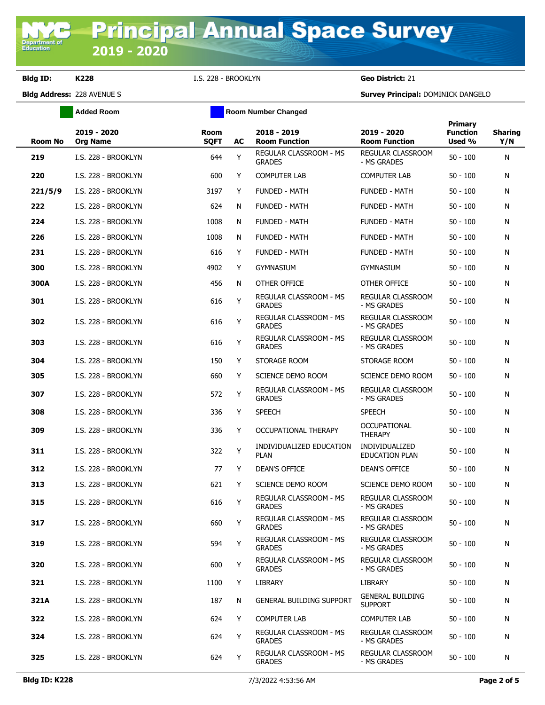**Bldg ID: K228** I.S. 228 - BROOKLYN **Geo District:** 21

**Added Room Room Room Number Changed** 

**Bldg Address:** 228 AVENUE S **Survey Principal:** DOMINICK DANGELO

| Room No | 2019 - 2020<br><b>Org Name</b> | <b>Room</b><br><b>SQFT</b> | AC | 2018 - 2019<br><b>Room Function</b>            | 2019 - 2020<br><b>Room Function</b>       | Primary<br><b>Function</b><br>Used % | <b>Sharing</b><br>Y/N |
|---------|--------------------------------|----------------------------|----|------------------------------------------------|-------------------------------------------|--------------------------------------|-----------------------|
| 219     | I.S. 228 - BROOKLYN            | 644                        | Y  | REGULAR CLASSROOM - MS<br><b>GRADES</b>        | REGULAR CLASSROOM<br>- MS GRADES          | $50 - 100$                           | N                     |
| 220     | I.S. 228 - BROOKLYN            | 600                        | Y  | <b>COMPUTER LAB</b>                            | <b>COMPUTER LAB</b>                       | $50 - 100$                           | N                     |
| 221/5/9 | I.S. 228 - BROOKLYN            | 3197                       | Y  | <b>FUNDED - MATH</b>                           | <b>FUNDED - MATH</b>                      | $50 - 100$                           | N                     |
| 222     | I.S. 228 - BROOKLYN            | 624                        | N  | <b>FUNDED - MATH</b>                           | <b>FUNDED - MATH</b>                      | $50 - 100$                           | N                     |
| 224     | I.S. 228 - BROOKLYN            | 1008                       | N  | <b>FUNDED - MATH</b>                           | <b>FUNDED - MATH</b>                      | $50 - 100$                           | N                     |
| 226     | I.S. 228 - BROOKLYN            | 1008                       | N  | <b>FUNDED - MATH</b>                           | <b>FUNDED - MATH</b>                      | $50 - 100$                           | N                     |
| 231     | I.S. 228 - BROOKLYN            | 616                        | Y  | <b>FUNDED - MATH</b>                           | <b>FUNDED - MATH</b>                      | $50 - 100$                           | N                     |
| 300     | I.S. 228 - BROOKLYN            | 4902                       | Y  | <b>GYMNASIUM</b>                               | <b>GYMNASIUM</b>                          | $50 - 100$                           | N                     |
| 300A    | I.S. 228 - BROOKLYN            | 456                        | N  | OTHER OFFICE                                   | OTHER OFFICE                              | $50 - 100$                           | N                     |
| 301     | I.S. 228 - BROOKLYN            | 616                        | Y  | REGULAR CLASSROOM - MS<br><b>GRADES</b>        | REGULAR CLASSROOM<br>- MS GRADES          | $50 - 100$                           | N                     |
| 302     | I.S. 228 - BROOKLYN            | 616                        | Y  | REGULAR CLASSROOM - MS<br><b>GRADES</b>        | <b>REGULAR CLASSROOM</b><br>- MS GRADES   | $50 - 100$                           | N                     |
| 303     | I.S. 228 - BROOKLYN            | 616                        | Y  | REGULAR CLASSROOM - MS<br><b>GRADES</b>        | <b>REGULAR CLASSROOM</b><br>- MS GRADES   | $50 - 100$                           | N                     |
| 304     | I.S. 228 - BROOKLYN            | 150                        | Y  | STORAGE ROOM                                   | STORAGE ROOM                              | $50 - 100$                           | N                     |
| 305     | I.S. 228 - BROOKLYN            | 660                        | Y  | SCIENCE DEMO ROOM                              | SCIENCE DEMO ROOM                         | $50 - 100$                           | N                     |
| 307     | I.S. 228 - BROOKLYN            | 572                        | Υ  | REGULAR CLASSROOM - MS<br><b>GRADES</b>        | <b>REGULAR CLASSROOM</b><br>- MS GRADES   | $50 - 100$                           | N                     |
| 308     | I.S. 228 - BROOKLYN            | 336                        | Y  | <b>SPEECH</b>                                  | <b>SPEECH</b>                             | $50 - 100$                           | N                     |
| 309     | I.S. 228 - BROOKLYN            | 336                        | Y  | OCCUPATIONAL THERAPY                           | <b>OCCUPATIONAL</b><br><b>THERAPY</b>     | $50 - 100$                           | N                     |
| 311     | I.S. 228 - BROOKLYN            | 322                        | Y  | INDIVIDUALIZED EDUCATION<br><b>PLAN</b>        | <b>INDIVIDUALIZED</b><br>EDUCATION PLAN   | $50 - 100$                           | N                     |
| 312     | I.S. 228 - BROOKLYN            | 77                         | Y  | <b>DEAN'S OFFICE</b>                           | <b>DEAN'S OFFICE</b>                      | $50 - 100$                           | N                     |
| 313     | I.S. 228 - BROOKLYN            | 621                        | Y  | SCIENCE DEMO ROOM                              | SCIENCE DEMO ROOM                         | $50 - 100$                           | N                     |
| 315     | I.S. 228 - BROOKLYN            | 616                        | Y  | <b>REGULAR CLASSROOM - MS</b><br><b>GRADES</b> | REGULAR CLASSROOM<br>- MS GRADES          | $50 - 100$                           | N                     |
| 317     | I.S. 228 - BROOKLYN            | 660                        | Y  | REGULAR CLASSROOM - MS<br><b>GRADES</b>        | REGULAR CLASSROOM<br>- MS GRADES          | $50 - 100$                           | N                     |
| 319     | I.S. 228 - BROOKLYN            | 594                        | Y  | REGULAR CLASSROOM - MS<br><b>GRADES</b>        | <b>REGULAR CLASSROOM</b><br>- MS GRADES   | $50 - 100$                           | N                     |
| 320     | I.S. 228 - BROOKLYN            | 600                        | Y  | REGULAR CLASSROOM - MS<br><b>GRADES</b>        | <b>REGULAR CLASSROOM</b><br>- MS GRADES   | $50 - 100$                           | N                     |
| 321     | I.S. 228 - BROOKLYN            | 1100                       | Y  | <b>LIBRARY</b>                                 | LIBRARY                                   | $50 - 100$                           | N                     |
| 321A    | I.S. 228 - BROOKLYN            | 187                        | N  | <b>GENERAL BUILDING SUPPORT</b>                | <b>GENERAL BUILDING</b><br><b>SUPPORT</b> | $50 - 100$                           | N                     |
| 322     | I.S. 228 - BROOKLYN            | 624                        | Y  | <b>COMPUTER LAB</b>                            | <b>COMPUTER LAB</b>                       | $50 - 100$                           | N                     |
| 324     | I.S. 228 - BROOKLYN            | 624                        | Y  | REGULAR CLASSROOM - MS<br><b>GRADES</b>        | REGULAR CLASSROOM<br>- MS GRADES          | $50 - 100$                           | N                     |
| 325     | I.S. 228 - BROOKLYN            | 624                        | Y  | REGULAR CLASSROOM - MS<br><b>GRADES</b>        | REGULAR CLASSROOM<br>- MS GRADES          | $50 - 100$                           | N                     |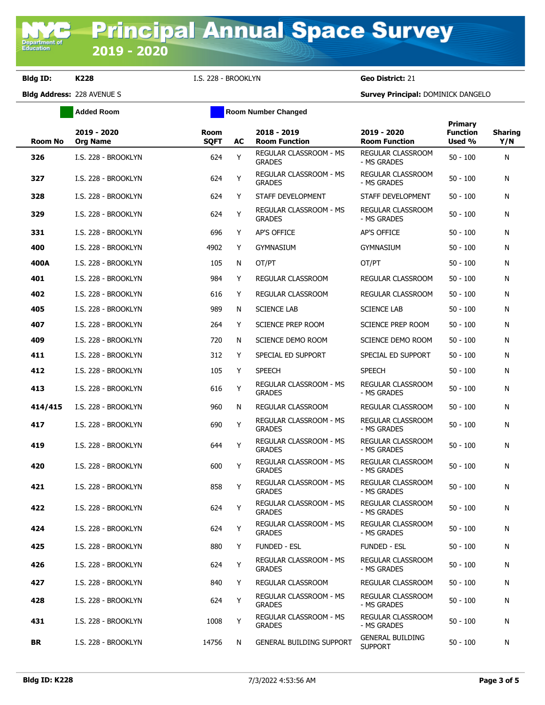**Bldg ID: K228** I.S. 228 - BROOKLYN **Geo District:** 21

**Added Room Room Room Number Changed** 

**Bldg Address:** 228 AVENUE S **Survey Principal:** DOMINICK DANGELO

| <b>Room No</b> | 2019 - 2020<br><b>Org Name</b> | <b>Room</b><br><b>SQFT</b> | AC | 2018 - 2019<br><b>Room Function</b>            | 2019 - 2020<br><b>Room Function</b>       | <b>Primary</b><br><b>Function</b><br>Used % | <b>Sharing</b><br>Y/N |
|----------------|--------------------------------|----------------------------|----|------------------------------------------------|-------------------------------------------|---------------------------------------------|-----------------------|
| 326            | I.S. 228 - BROOKLYN            | 624                        | Y  | <b>REGULAR CLASSROOM - MS</b><br><b>GRADES</b> | <b>REGULAR CLASSROOM</b><br>- MS GRADES   | $50 - 100$                                  | N                     |
| 327            | I.S. 228 - BROOKLYN            | 624                        | Υ  | <b>REGULAR CLASSROOM - MS</b><br><b>GRADES</b> | <b>REGULAR CLASSROOM</b><br>- MS GRADES   | $50 - 100$                                  | N                     |
| 328            | I.S. 228 - BROOKLYN            | 624                        | Y  | STAFF DEVELOPMENT                              | STAFF DEVELOPMENT                         | $50 - 100$                                  | Ν                     |
| 329            | I.S. 228 - BROOKLYN            | 624                        | Υ  | <b>REGULAR CLASSROOM - MS</b><br><b>GRADES</b> | <b>REGULAR CLASSROOM</b><br>- MS GRADES   | $50 - 100$                                  | Ν                     |
| 331            | I.S. 228 - BROOKLYN            | 696                        | Y  | <b>AP'S OFFICE</b>                             | <b>AP'S OFFICE</b>                        | $50 - 100$                                  | Ν                     |
| 400            | I.S. 228 - BROOKLYN            | 4902                       | Y  | <b>GYMNASIUM</b>                               | <b>GYMNASIUM</b>                          | $50 - 100$                                  | N                     |
| 400A           | I.S. 228 - BROOKLYN            | 105                        | N  | OT/PT                                          | OT/PT                                     | $50 - 100$                                  | N                     |
| 401            | I.S. 228 - BROOKLYN            | 984                        | Y  | REGULAR CLASSROOM                              | REGULAR CLASSROOM                         | $50 - 100$                                  | Ν                     |
| 402            | I.S. 228 - BROOKLYN            | 616                        | Y  | REGULAR CLASSROOM                              | REGULAR CLASSROOM                         | $50 - 100$                                  | Ν                     |
| 405            | I.S. 228 - BROOKLYN            | 989                        | N  | <b>SCIENCE LAB</b>                             | <b>SCIENCE LAB</b>                        | $50 - 100$                                  | Ν                     |
| 407            | I.S. 228 - BROOKLYN            | 264                        | Y  | <b>SCIENCE PREP ROOM</b>                       | SCIENCE PREP ROOM                         | $50 - 100$                                  | Ν                     |
| 409            | I.S. 228 - BROOKLYN            | 720                        | N  | <b>SCIENCE DEMO ROOM</b>                       | SCIENCE DEMO ROOM                         | $50 - 100$                                  | Ν                     |
| 411            | I.S. 228 - BROOKLYN            | 312                        | Y  | SPECIAL ED SUPPORT                             | SPECIAL ED SUPPORT                        | $50 - 100$                                  | Ν                     |
| 412            | I.S. 228 - BROOKLYN            | 105                        | Y  | <b>SPEECH</b>                                  | <b>SPEECH</b>                             | $50 - 100$                                  | Ν                     |
| 413            | I.S. 228 - BROOKLYN            | 616                        | Y  | REGULAR CLASSROOM - MS<br><b>GRADES</b>        | <b>REGULAR CLASSROOM</b><br>- MS GRADES   | $50 - 100$                                  | Ν                     |
| 414/415        | I.S. 228 - BROOKLYN            | 960                        | N  | REGULAR CLASSROOM                              | REGULAR CLASSROOM                         | $50 - 100$                                  | Ν                     |
| 417            | I.S. 228 - BROOKLYN            | 690                        | Y  | REGULAR CLASSROOM - MS<br><b>GRADES</b>        | REGULAR CLASSROOM<br>- MS GRADES          | $50 - 100$                                  | Ν                     |
| 419            | I.S. 228 - BROOKLYN            | 644                        | Υ  | REGULAR CLASSROOM - MS<br><b>GRADES</b>        | REGULAR CLASSROOM<br>- MS GRADES          | $50 - 100$                                  | Ν                     |
| 420            | I.S. 228 - BROOKLYN            | 600                        | Y  | REGULAR CLASSROOM - MS<br><b>GRADES</b>        | REGULAR CLASSROOM<br>- MS GRADES          | $50 - 100$                                  | Ν                     |
| 421            | I.S. 228 - BROOKLYN            | 858                        | Υ  | REGULAR CLASSROOM - MS<br><b>GRADES</b>        | REGULAR CLASSROOM<br>- MS GRADES          | $50 - 100$                                  | Ν                     |
| 422            | I.S. 228 - BROOKLYN            | 624                        | Y  | REGULAR CLASSROOM - MS<br><b>GRADES</b>        | <b>REGULAR CLASSROOM</b><br>- MS GRADES   | $50 - 100$                                  | Ν                     |
| 424            | I.S. 228 - BROOKLYN            | 624                        | Y  | REGULAR CLASSROOM - MS<br><b>GRADES</b>        | REGULAR CLASSROOM<br>- MS GRADES          | $50 - 100$                                  | N                     |
| 425            | I.S. 228 - BROOKLYN            | 880                        | Y  | <b>FUNDED - ESL</b>                            | <b>FUNDED - ESL</b>                       | $50 - 100$                                  | N                     |
| 426            | I.S. 228 - BROOKLYN            | 624                        | Y  | <b>REGULAR CLASSROOM - MS</b><br><b>GRADES</b> | REGULAR CLASSROOM<br>- MS GRADES          | $50 - 100$                                  | N                     |
| 427            | I.S. 228 - BROOKLYN            | 840                        | Y  | REGULAR CLASSROOM                              | REGULAR CLASSROOM                         | $50 - 100$                                  | N                     |
| 428            | I.S. 228 - BROOKLYN            | 624                        | Y  | REGULAR CLASSROOM - MS<br><b>GRADES</b>        | <b>REGULAR CLASSROOM</b><br>- MS GRADES   | $50 - 100$                                  | N                     |
| 431            | I.S. 228 - BROOKLYN            | 1008                       | Υ  | REGULAR CLASSROOM - MS<br><b>GRADES</b>        | REGULAR CLASSROOM<br>- MS GRADES          | $50 - 100$                                  | N                     |
| BR             | I.S. 228 - BROOKLYN            | 14756                      | N  | <b>GENERAL BUILDING SUPPORT</b>                | <b>GENERAL BUILDING</b><br><b>SUPPORT</b> | $50 - 100$                                  | N                     |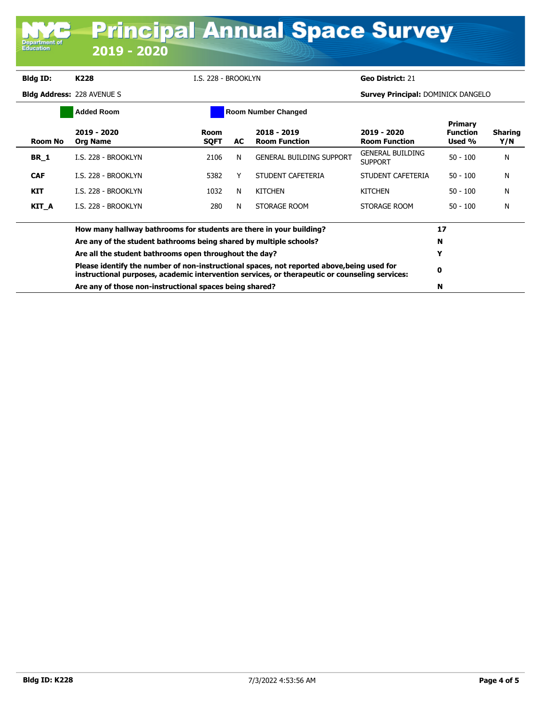| Department of<br><b>Education</b>               | 2019 - 2020                                                         |                     |    | <b>Principal Annual Space Survey</b>  |                                           |                                             |                       |
|-------------------------------------------------|---------------------------------------------------------------------|---------------------|----|---------------------------------------|-------------------------------------------|---------------------------------------------|-----------------------|
| <b>Bldg ID:</b>                                 | K228                                                                | I.S. 228 - BROOKLYN |    |                                       | Geo District: 21                          |                                             |                       |
|                                                 | <b>Bldg Address: 228 AVENUE S</b>                                   |                     |    |                                       | <b>Survey Principal: DOMINICK DANGELO</b> |                                             |                       |
| <b>Added Room</b><br><b>Room Number Changed</b> |                                                                     |                     |    |                                       |                                           |                                             |                       |
| <b>Room No</b>                                  | 2019 - 2020<br><b>Org Name</b>                                      | Room<br><b>SQFT</b> | AC | $2018 - 2019$<br><b>Room Function</b> | 2019 - 2020<br><b>Room Function</b>       | <b>Primary</b><br><b>Function</b><br>Used % | <b>Sharing</b><br>Y/N |
| <b>BR</b> 1                                     | I.S. 228 - BROOKLYN                                                 | 2106                | N  | <b>GENERAL BUILDING SUPPORT</b>       | <b>GENERAL BUILDING</b><br><b>SUPPORT</b> | $50 - 100$                                  | N                     |
| <b>CAF</b>                                      | I.S. 228 - BROOKLYN                                                 | 5382                | Y  | STUDENT CAFETERIA                     | STUDENT CAFETERIA                         | $50 - 100$                                  | N                     |
| <b>KIT</b>                                      | <b>I.S. 228 - BROOKI YN</b>                                         | 1032                | N  | <b>KITCHEN</b>                        | <b>KITCHEN</b>                            | $50 - 100$                                  | N                     |
| KIT_A                                           | I.S. 228 - BROOKLYN                                                 | 280                 | N  | STORAGE ROOM                          | STORAGE ROOM                              | $50 - 100$                                  | N                     |
|                                                 | How many hallway bathrooms for students are there in your building? | 17                  |    |                                       |                                           |                                             |                       |
|                                                 | Are any of the student bathrooms being shared by multiple schools?  | N                   |    |                                       |                                           |                                             |                       |
|                                                 | Are all the student bathrooms open throughout the day?              | Y                   |    |                                       |                                           |                                             |                       |

**Please identify the number of non-instructional spaces, not reported above,being used for instructional purposes, academic intervention services, or therapeutic or counseling services: <sup>0</sup> Are any of those non-instructional spaces being shared? N**